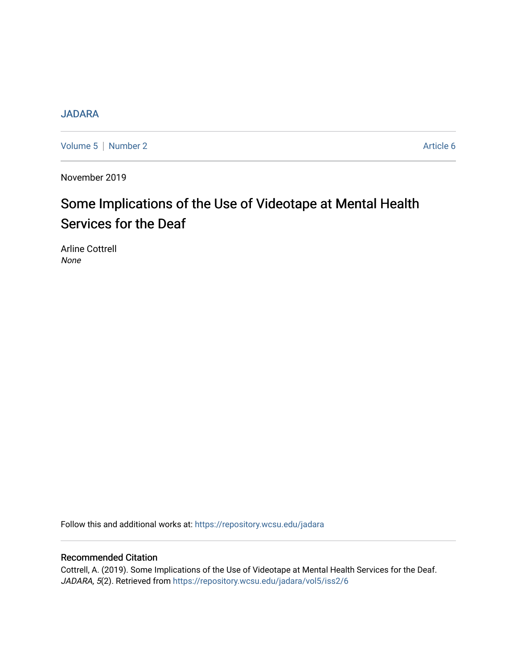# [JADARA](https://repository.wcsu.edu/jadara)

[Volume 5](https://repository.wcsu.edu/jadara/vol5) | [Number 2](https://repository.wcsu.edu/jadara/vol5/iss2) Article 6

November 2019

# Some Implications of the Use of Videotape at Mental Health Services for the Deaf

Arline Cottrell None

Follow this and additional works at: [https://repository.wcsu.edu/jadara](https://repository.wcsu.edu/jadara?utm_source=repository.wcsu.edu%2Fjadara%2Fvol5%2Fiss2%2F6&utm_medium=PDF&utm_campaign=PDFCoverPages)

# Recommended Citation

Cottrell, A. (2019). Some Implications of the Use of Videotape at Mental Health Services for the Deaf. JADARA, 5(2). Retrieved from [https://repository.wcsu.edu/jadara/vol5/iss2/6](https://repository.wcsu.edu/jadara/vol5/iss2/6?utm_source=repository.wcsu.edu%2Fjadara%2Fvol5%2Fiss2%2F6&utm_medium=PDF&utm_campaign=PDFCoverPages)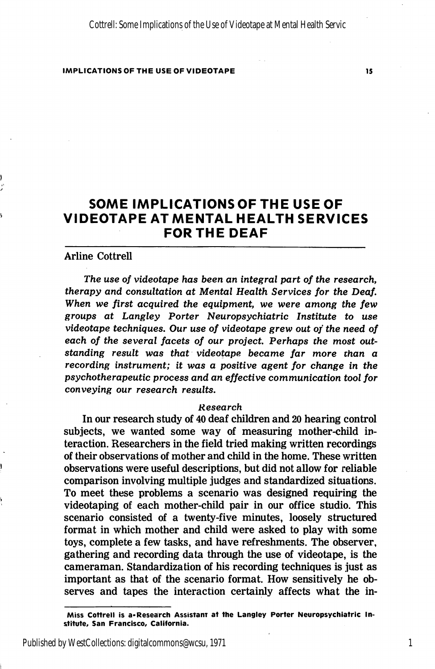# SOME IMPLICATIONS OF THE USE OF VIDEOTAPE AT MENTAL HEALTH SERVICES FOR THE DEAF

# Arline Cottrell

The use of videotape has been an integral part of the research, therapy and consultation at Mental Health Services for the Deaf. When we first acquired the equipment, we were among the few groups at Langley Porter Neuropsychiatric Institute to use videotape techniques. Our use of videotape grew out of the need of each of the several facets of our project. Perhaps the most out standing result was that videotape became far more than a recording instrument; it was a positive agent for change in the psychotherapeutic process and an effective communication tool for conveying our research results.

## Research

In our research study of 40 deaf children and 20 hearing control subjects, we wanted some way of measuring mother-child in teraction. Researchers in the field tried making written recordings of their observations of mother and child in the home. These written observations were useful descriptions, but did not allow for reliable comparison involving multiple judges and standardized situations. To meet these problems a scenario was designed requiring the videotaping of each mother-child pair in our office studio. This scenario consisted of a twenty-five minutes, loosely structured format in which mother and child were asked to play with some toys, complete a few tasks, and have refreshments. The observer, gathering and recording data through the use of videotape, is the cameraman. Standardization of his recording techniques is just as important as that of the scenario format. How sensitively he ob serves and tapes the interaction certainly affects what the in-

Miss Cottrell is a-Research Assistant at the Langley Porter Neuropsychiatric Institute, San Francisco, California.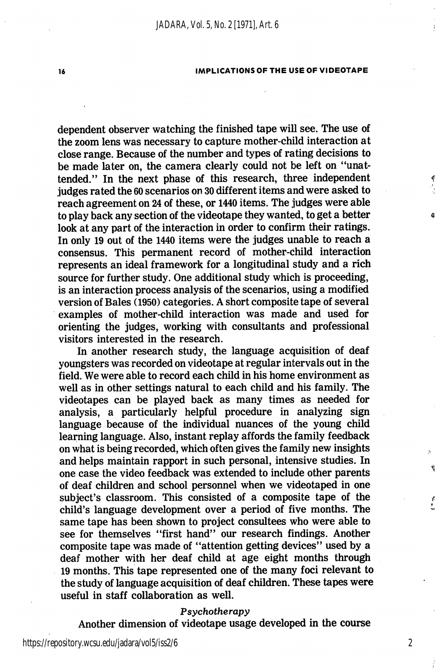dependent observer watching the finished tape will see. The use of the zoom lens was necessary to capture mother-child interaction at close range. Because of the number and types of rating decisions to be made later on, the camera clearly could not be left on "unat tended." In the next phase of this research, three independent judges rated the 60 scenarios on 30 different items and were asked to reach agreement on 24 of these, or 1440 items. The judges were able to play back any section of the videotape they wanted, to get a better look at any part of the interaction in order to confirm their ratings. In only 19 out of the 1440 items were the judges unable to reach a consensus. This permanent record of mother-child interaction represents an ideal framework for a longitudinal study and a rich source for further study. One additional study which is proceeding, is an interaction process analysis of the scenarios, using a modified version of Bales (1950) categories. A short composite tape of several examples of mother-child interaction was made and used for orienting the judges, working with consultants and professional visitors interested in the research.

In another research study, the language acquisition of deaf youngsters was recorded on videotape at regular intervals out in the field. We were able to record each child in his home environment as well as in other settings natural to each child and his family. The videotapes can be played back as many times as needed for analysis, a particularly helpful procedure in analyzing sign language because of the individual nuances of the young child learning language. Also, instant replay affords the family feedback on what is being recorded, which often gives the family new insights and helps maintain rapport in such personal, intensive studies. In one case the video feedback was extended to include other parents of deaf children and school personnel when we videotaped in one subject's classroom. This consisted of a composite tape of the child's language development over a period of five months. The same tape has been shown to project consultees who were able to see for themselves "first hand" our research findings. Another composite tape was made of "attention getting devices" used by a deaf mother with her deaf child at age eight months through 19 months. This tape represented one of the many foci relevant to the study of language acquisition of deaf children. These tapes were useful in staff collaboration as well.

## Psychotherapy

Another dimension of videotape usage developed in the course

2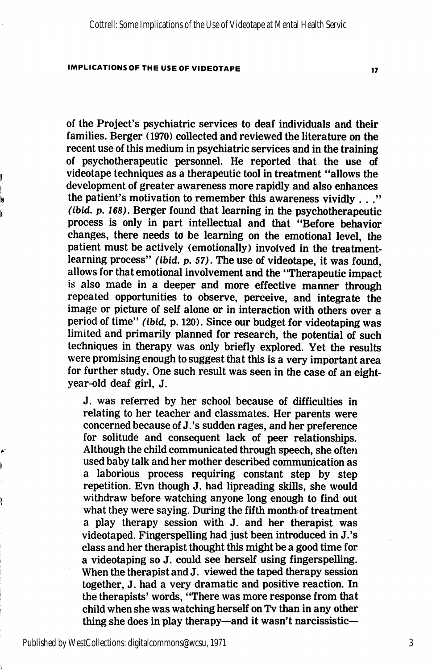of the Project's psychiatric services to deaf individuals and their families. Berger (1970) collected and reviewed the literature on the recent use of this medium in psychiatric services and in the training of psychotherapeutic personnel. He reported that the use of videotape techniques as a therapeutic tool in treatment "allows the development of greater awareness more rapidly and also enhances the patient's motivation to remember this awareness vividly . . ."  $(ibid. p. 168)$ . Berger found that learning in the psychotherapeutic process is only in part intellectual and that "Before behavior changes, there needs to be learning on the emotional level, the patient must be actively (emotionally) involved in the treatmentlearning process" (ibid. p. 57). The use of videotape, it was found, allows for that emotional involvement and the "Therapeutic impact is also made in a deeper and more effective manner through repeated opportunities to observe, perceive, and integrate the image or picture of self alone or in interaction with others over a period of time" {ibid, p. 120). Since our budget for videotaping was limited and primarily planned for research, the potential of such techniques in therapy was only briefly explored. Yet the results were promising enough to suggest that this is a very important area for further study. One such result was seen in the case of an eightyear-old deaf girl, J.

J. was referred by her school because of difficulties in relating to her teacher and classmates. Her parents were concerned because of J.'s sudden rages, and her preference for solitude and consequent lack of peer relationships. Although the child communicated through speech, she often used baby talk and her mother described communication as a laborious process requiring constant step by step repetition. Evn though J. had lipreading skills, she would withdraw before watching anyone long enough to find out what they were saying. During the fifth month of treatment a play therapy session with J. and her therapist was videotaped. Fingerspelling had just been introduced in J.'s class and her therapist thought this might be a good time for a videotaping so J. could see herself using fingerspelling. When the therapist and J. viewed the taped therapy session together, J. had a very dramatic and positive reaction. In the therapists' words, "There was more response from that child when she was watching herself on Tv than in any other thing she does in play therapy—and it wasn't narcissistic—

Published by WestCollections: digitalcommons@wcsu, 1971

Ì

3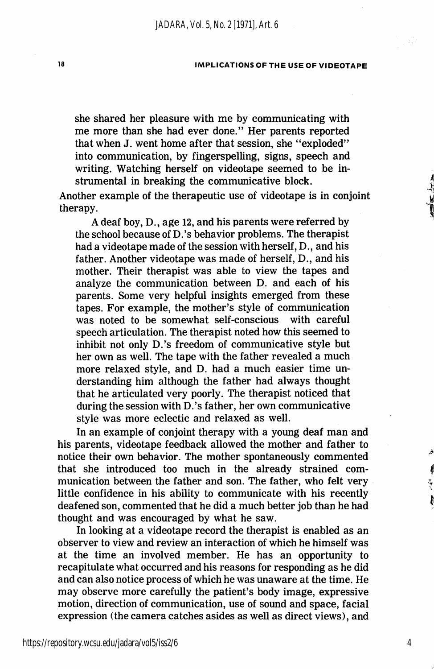she shared her pleasure with me by communicating with me more than she had ever done." Her parents reported that when J. went home after that session, she "exploded" into communication, by fingerspelling, signs, speech and writing. Watching herself on videotape seemed to be in strumental in breaking the communicative block.

Another example of the therapeutic use of videotape is in conjoint therapy.

A deaf boy, D., age 12, and his parents were referred by the school because of D.'s behavior problems. The therapist had a videotape made of the session with herself, D., and his father. Another videotape was made of herself, D., and his mother. Their therapist was able to view the tapes and analyze the communication between D. and each of his parents. Some very helpful insights emerged from these tapes. For example, the mother's style of communication was noted to be somewhat self-conscious with careful speech articulation. The therapist noted how this seemed to inhibit not only D.'s freedom of communicative style but her own as well. The tape with the father revealed a much more relaxed style, and D. had a much easier time un derstanding him although the father had always thought that he articulated very poorly. The therapist noticed that during the session with D.'s father, her own communicative style was more eclectic and relaxed as well.

In an example of conjoint therapy with a young deaf man and his parents, videotape feedback allowed the mother and father to notice their own behavior. The mother spontaneously commented that she introduced too much in the already strained com munication between the father and son. The father, who felt very little confidence in his ability to communicate with his recently deafened son, commented that he did a much better job than he had thought and was encouraged by what he saw.

In looking at a videotape record the therapist is enabled as an observer to view and review an interaction of which he himself was at the time an involved member. He has an opportunity to recapitulate what occurred and his reasons for responding as he did and can also notice process of which he was unaware at the time. He may observe more carefully the patient's body image, expressive motion, direction of communication, use of sound and space, facial expression (the camera catches asides as well as direct views), and

4

ė.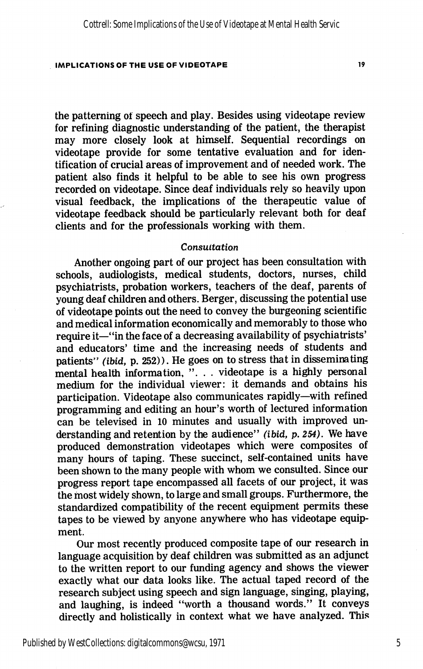#### IMPLICATIONS OF THE USE OF VIDEOTAPE 19 2022 19

the patterning of speech and play. Besides using videotape review for refining diagnostic understanding of the patient, the therapist may more closely look at himself. Sequential recordings on videotape provide for some tentative evaluation and for iden tification of crucial areas of improvement and of needed work. The patient also finds it helpful to be able to see his own progress recorded on videotape. Since deaf individuals rely so heavily upon visual feedback, the implications of the therapeutic value of videotape feedback should be particularly relevant both for deaf clients and for the professionals working with them.

## Consultation

Another ongoing part of our project has been consultation with schools, audiologists, medical students, doctors, nurses, child psychiatrists, probation workers, teachers of the deaf, parents of young deaf children and others. Berger, discussing the potential use of videotape points out the need to convey the burgeoning scientific and medical information economically and memorably to those who require it—"in the face of a decreasing availability of psychiatrists' and educators' time and the increasing needs of students and patients" (ibid, p. 252)). He goes on to stress that in disseminating mental health information, "... videotape is a highly personal medium for the individual viewer: it demands and obtains his participation. Videotape also communicates rapidly—with refined programming and editing an hour's worth of lectured information can be televised in 10 minutes and usually with improved un derstanding and retention by the audience" *(ibid, p. 254)*. We have produced demonstration videotapes which were composites of many hours of taping. These succinct, self-contained units have been shown to the many people with whom we consulted. Since our progress report tape encompassed all facets of our project, it was the most widely shown, to large and small groups. Furthermore, the standardized compatibility of the recent equipment permits these tapes to be viewed by anyone anywhere who has videotape equip ment.

Our most recently produced composite tape of our research in language acquisition by deaf children was submitted as an adjunct to the written report to our funding agency and shows the viewer exactly what our data looks like. The actual taped record of the research subject using speech and sign language, singing, playing, and laughing, is indeed "worth a thousand words." It conveys directly and holistically in context what we have analyzed. This